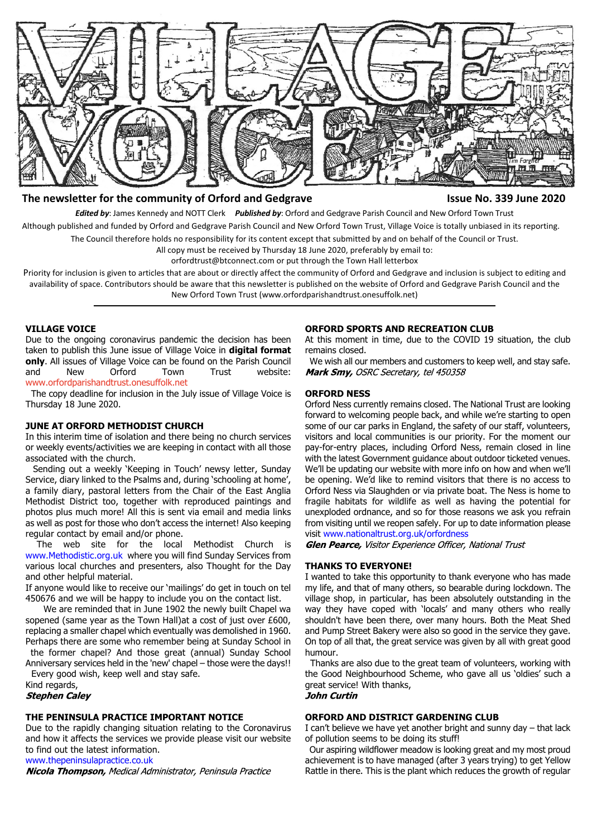

### **The newsletter for the community of Orford and Gedgrave Issue No. 339 June 2020**

*Edited by*: James Kennedy and NOTT Clerk *Published by*: Orford and Gedgrave Parish Council and New Orford Town Trust

Although published and funded by Orford and Gedgrave Parish Council and New Orford Town Trust, Village Voice is totally unbiased in its reporting.

The Council therefore holds no responsibility for its content except that submitted by and on behalf of the Council or Trust.

All copy must be received by Thursday 18 June 2020, preferably by email to:

orfordtrust@btconnect.com or put through the Town Hall letterbox

Priority for inclusion is given to articles that are about or directly affect the community of Orford and Gedgrave and inclusion is subject to editing and availability of space. Contributors should be aware that this newsletter is published on the website of Orford and Gedgrave Parish Council and the New Orford Town Trust (www.orfordparishandtrust.onesuffolk.net)

#### **VILLAGE VOICE**

Due to the ongoing coronavirus pandemic the decision has been taken to publish this June issue of Village Voice in **digital format only**. All issues of Village Voice can be found on the Parish Council and New Orford Town Trust website: <www.orfordparishandtrust.onesuffolk.net>

 The copy deadline for inclusion in the July issue of Village Voice is Thursday 18 June 2020.

#### **JUNE AT ORFORD METHODIST CHURCH**

In this interim time of isolation and there being no church services or weekly events/activities we are keeping in contact with all those associated with the church.

 Sending out a weekly 'Keeping in Touch' newsy letter, Sunday Service, diary linked to the Psalms and, during 'schooling at home', a family diary, pastoral letters from the Chair of the East Anglia Methodist District too, together with reproduced paintings and photos plus much more! All this is sent via email and media links as well as post for those who don't access the internet! Also keeping regular contact by email and/or phone.

 The web site for the local Methodist Church is www.Methodistic.org.uk where you will find Sunday Services from various local churches and presenters, also Thought for the Day and other helpful material.

If anyone would like to receive our 'mailings' do get in touch on tel 450676 and we will be happy to include you on the contact list.

We are reminded that in June 1902 the newly built Chapel wa sopened (same year as the Town Hall)at a cost of just over £600, replacing a smaller chapel which eventually was demolished in 1960. Perhaps there are some who remember being at Sunday School in

 the former chapel? And those great (annual) Sunday School Anniversary services held in the 'new' chapel – those were the days!! Every good wish, keep well and stay safe.

Kind regards,

**Stephen Caley** 

#### **THE PENINSULA PRACTICE IMPORTANT NOTICE**

Due to the rapidly changing situation relating to the Coronavirus and how it affects the services we provide please visit our website to find out the latest information.

www.thepeninsulapractice.co.uk<br>**Nicola Thompson,** Medical Administrator, Peninsula Practice

#### **ORFORD SPORTS AND RECREATION CLUB**

At this moment in time, due to the COVID 19 situation, the club remains closed.

 We wish all our members and customers to keep well, and stay safe. Mark Smy, OSRC Secretary, tel 450358

#### **ORFORD NESS**

Orford Ness currently remains closed. The National Trust are looking forward to welcoming people back, and while we're starting to open some of our car parks in England, the safety of our staff, volunteers, visitors and local communities is our priority. For the moment our pay-for-entry places, including Orford Ness, remain closed in line with the latest Government guidance about outdoor ticketed venues. We'll be updating our website with more info on how and when we'll be opening. We'd like to remind visitors that there is no access to Orford Ness via Slaughden or via private boat. The Ness is home to fragile habitats for wildlife as well as having the potential for unexploded ordnance, and so for those reasons we ask you refrain from visiting until we reopen safely. For up to date information please visit www.nationaltrust.org.uk/orfordness

**Glen Pearce, Visitor Experience Officer, National Trust** 

#### **THANKS TO EVERYONE!**

I wanted to take this opportunity to thank everyone who has made my life, and that of many others, so bearable during lockdown. The village shop, in particular, has been absolutely outstanding in the way they have coped with 'locals' and many others who really shouldn't have been there, over many hours. Both the Meat Shed and Pump Street Bakery were also so good in the service they gave. On top of all that, the great service was given by all with great good humour.

 Thanks are also due to the great team of volunteers, working with the Good Neighbourhood Scheme, who gave all us 'oldies' such a great service! With thanks, **John Curtin** 

#### **ORFORD AND DISTRICT GARDENING CLUB**

I can't believe we have yet another bright and sunny day – that lack of pollution seems to be doing its stuff!

 Our aspiring wildflower meadow is looking great and my most proud achievement is to have managed (after 3 years trying) to get Yellow Rattle in there. This is the plant which reduces the growth of regular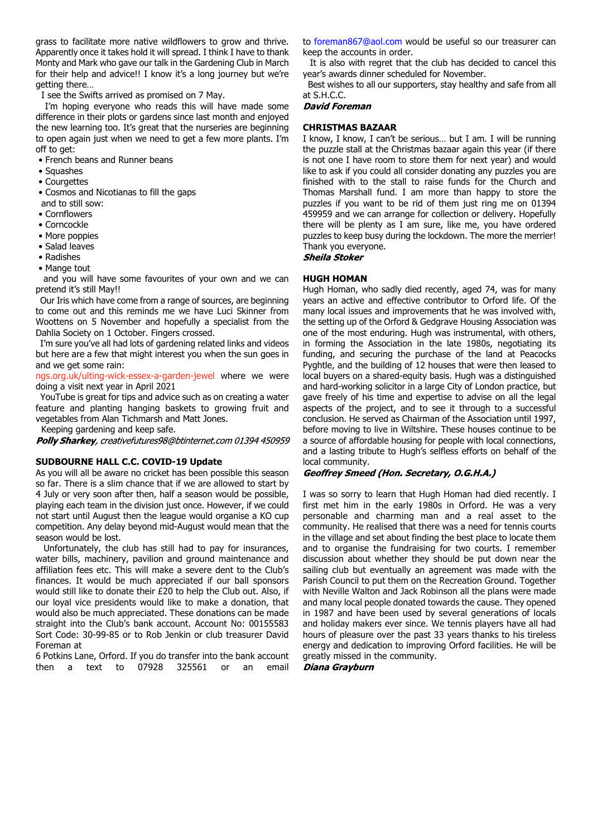grass to facilitate more native wildflowers to grow and thrive. Apparently once it takes hold it will spread. I think I have to thank Monty and Mark who gave our talk in the Gardening Club in March for their help and advice!! I know it's a long journey but we're getting there…

I see the Swifts arrived as promised on 7 May.

 I'm hoping everyone who reads this will have made some difference in their plots or gardens since last month and enjoyed the new learning too. It's great that the nurseries are beginning to open again just when we need to get a few more plants. I'm off to get:

• French beans and Runner beans

- Squashes
- Courgettes

• Cosmos and Nicotianas to fill the gaps

- and to still sow:
- Cornflowers
- Corncockle • More poppies
- Salad leaves
- Radishes
- Mange tout

 and you will have some favourites of your own and we can pretend it's still May!!

 Our Iris which have come from a range of sources, are beginning to come out and this reminds me we have Luci Skinner from Woottens on 5 November and hopefully a specialist from the Dahlia Society on 1 October. Fingers crossed.

 I'm sure you've all had lots of gardening related links and videos but here are a few that might interest you when the sun goes in and we get some rain:

[ngs.org.uk/ulting-wick-essex-a-garden-jewel](https://ngs.org.uk/ulting-wick-essex-a-garden-jewel/) where we were doing a visit next year in April 2021

 YouTube is great for tips and advice such as on creating a water feature and planting hanging baskets to growing fruit and vegetables from Alan Tichmarsh and Matt Jones.

Keeping gardening and keep safe.

Polly Sharkey, creativefutures98@btinternet.com 01394 450959

#### **SUDBOURNE HALL C.C. COVID-19 Update**

As you will all be aware no cricket has been possible this season so far. There is a slim chance that if we are allowed to start by 4 July or very soon after then, half a season would be possible, playing each team in the division just once. However, if we could not start until August then the league would organise a KO cup competition. Any delay beyond mid-August would mean that the season would be lost.

 Unfortunately, the club has still had to pay for insurances, water bills, machinery, pavilion and ground maintenance and affiliation fees etc. This will make a severe dent to the Club's finances. It would be much appreciated if our ball sponsors would still like to donate their £20 to help the Club out. Also, if our loyal vice presidents would like to make a donation, that would also be much appreciated. These donations can be made straight into the Club's bank account. Account No: 00155583 Sort Code: 30-99-85 or to Rob Jenkin or club treasurer David Foreman at

6 Potkins Lane, Orford. If you do transfer into the bank account then a text to 07928 325561 or an email to foreman867@aol.com would be useful so our treasurer can keep the accounts in order.

 It is also with regret that the club has decided to cancel this year's awards dinner scheduled for November.

 Best wishes to all our supporters, stay healthy and safe from all at S.H.C.C.<br>**David Foreman** 

#### **CHRISTMAS BAZAAR**

I know, I know, I can't be serious… but I am. I will be running the puzzle stall at the Christmas bazaar again this year (if there is not one I have room to store them for next year) and would like to ask if you could all consider donating any puzzles you are finished with to the stall to raise funds for the Church and Thomas Marshall fund. I am more than happy to store the puzzles if you want to be rid of them just ring me on 01394 459959 and we can arrange for collection or delivery. Hopefully there will be plenty as I am sure, like me, you have ordered puzzles to keep busy during the lockdown. The more the merrier! Thank you everyone.<br>**Sheila Stoker** 

#### **HUGH HOMAN**

Hugh Homan, who sadly died recently, aged 74, was for many years an active and effective contributor to Orford life. Of the many local issues and improvements that he was involved with, the setting up of the Orford & Gedgrave Housing Association was one of the most enduring. Hugh was instrumental, with others, in forming the Association in the late 1980s, negotiating its funding, and securing the purchase of the land at Peacocks Pyghtle, and the building of 12 houses that were then leased to local buyers on a shared-equity basis. Hugh was a distinguished and hard-working solicitor in a large City of London practice, but gave freely of his time and expertise to advise on all the legal aspects of the project, and to see it through to a successful conclusion. He served as Chairman of the Association until 1997, before moving to live in Wiltshire. These houses continue to be a source of affordable housing for people with local connections, and a lasting tribute to Hugh's selfless efforts on behalf of the local community.

### Geoffrey Smeed (Hon. Secretary, O.G.H.A.)

I was so sorry to learn that Hugh Homan had died recently. I first met him in the early 1980s in Orford. He was a very personable and charming man and a real asset to the community. He realised that there was a need for tennis courts in the village and set about finding the best place to locate them and to organise the fundraising for two courts. I remember discussion about whether they should be put down near the sailing club but eventually an agreement was made with the Parish Council to put them on the Recreation Ground. Together with Neville Walton and Jack Robinson all the plans were made and many local people donated towards the cause. They opened in 1987 and have been used by several generations of locals and holiday makers ever since. We tennis players have all had hours of pleasure over the past 33 years thanks to his tireless energy and dedication to improving Orford facilities. He will be greatly missed in the community.

Diana Grayburn